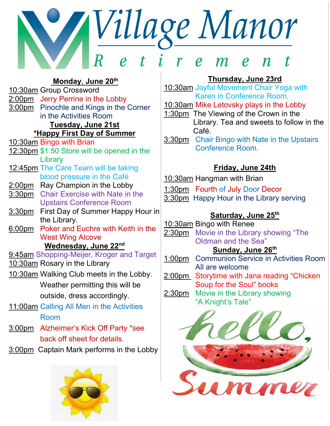# *Village Manor*  $\sim$  $\boldsymbol{r}$  $\boldsymbol{\rho}$

Monday, June 20th 10:30am Group Crossword 2:00pm Jerry Perrine in the Lobby 3:00pm Pinochle and Kings in the Corner in the Activities Room Tuesday, June 21st \*Happy First Day of Summer 10:30am Bingo with Brian 12:30pm \$1.50 Store will be opened in the **Library** 12:45pm The Care Team will be taking blood pressure in the Café 2:00pm Ray Champion in the Lobby 3:30pm Chair Exercise with Nate in the Upstairs Conference Room 3:30pm First Day of Summer Happy Hour in the Library. 6:00pm Poker and Euchre with Keith in the West Wing Alcove Wednesday, June 22nd 9:45am Shopping-Meijer, Kroger and Target 10:30am Rosary in the Library 10:30am Walking Club meets in the Lobby. Weather permitting this will be outside, dress accordingly. 11:00am Calling All Men in the Activities Room 3:00pm Alzheimer's Kick Off Party \*see back off sheet for details.

3:00pm Captain Mark performs in the Lobby



### Thursday, June 23rd

10:30am Joyful Movement Chair Yoga with Karen in Conference Room.

10:30am Mike Letovsky plays in the Lobby

- 1:30pm The Viewing of the Crown in the Library. Tea and sweets to follow in the Café.
- 3:30pm Chair Bingo with Nate in the Upstairs Conference Room.

### Friday, June 24th

10:30am Hangman with Brian

1:30pm Fourth of July Door Decor 3:30pm Happy Hour in the Library serving

### Saturday, June 25<sup>th</sup>

10:30am Bingo with Renee 2:30pm Movie in the Library showing "The Oldman and the Sea"

### Sunday, June 26<sup>th</sup>

- 1:00pm Communion Service in Activities Room All are welcome
- 2:00pm Storytime with Jana reading "Chicken Soup for the Soul" books
- 2:30pm Movie in the Library showing "A Knight's Tale"